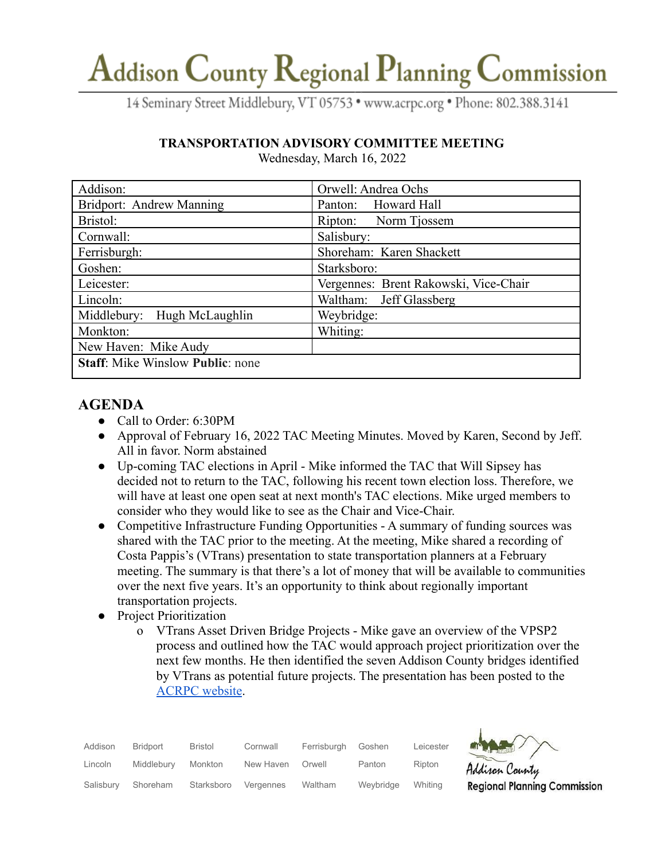# Addison County Regional Planning Commission

14 Seminary Street Middlebury, VT 05753 · www.acrpc.org · Phone: 802.388.3141

### **TRANSPORTATION ADVISORY COMMITTEE MEETING**

| Addison:                                | Orwell: Andrea Ochs                   |
|-----------------------------------------|---------------------------------------|
| Bridport: Andrew Manning                | Panton: Howard Hall                   |
| Bristol:                                | Ripton: Norm Tjossem                  |
| Cornwall:                               | Salisbury:                            |
| Ferrisburgh:                            | Shoreham: Karen Shackett              |
| Goshen:                                 | Starksboro:                           |
| Leicester:                              | Vergennes: Brent Rakowski, Vice-Chair |
| Lincoln:                                | Waltham: Jeff Glassberg               |
| Middlebury: Hugh McLaughlin             | Weybridge:                            |
| Monkton:                                | Whiting:                              |
| New Haven: Mike Audy                    |                                       |
| <b>Staff:</b> Mike Winslow Public: none |                                       |

Wednesday, March 16, 2022

## **AGENDA**

- Call to Order: 6:30PM
- Approval of February 16, 2022 TAC Meeting Minutes. Moved by Karen, Second by Jeff. All in favor. Norm abstained
- Up-coming TAC elections in April Mike informed the TAC that Will Sipsey has decided not to return to the TAC, following his recent town election loss. Therefore, we will have at least one open seat at next month's TAC elections. Mike urged members to consider who they would like to see as the Chair and Vice-Chair.
- Competitive Infrastructure Funding Opportunities A summary of funding sources was shared with the TAC prior to the meeting. At the meeting, Mike shared a recording of Costa Pappis's (VTrans) presentation to state transportation planners at a February meeting. The summary is that there's a lot of money that will be available to communities over the next five years. It's an opportunity to think about regionally important transportation projects.
- Project Prioritization
	- o VTrans Asset Driven Bridge Projects Mike gave an overview of the VPSP2 process and outlined how the TAC would approach project prioritization over the next few months. He then identified the seven Addison County bridges identified by VTrans as potential future projects. The presentation has been posted to the [ACRPC website](https://acrpc.org/minutes-agendas/).

| Addison   | Bridport   | Bristol    | Cornwall  | Ferrisburgh | Goshen    | Leicester |
|-----------|------------|------------|-----------|-------------|-----------|-----------|
| Lincoln   | Middlebury | Monkton    | New Haven | Orwell      | Panton    | Ripton    |
| Salisbury | Shoreham   | Starksboro | Vergennes | Waltham     | Weybridge | Whiting   |



Addison County **Regional Planning Commission**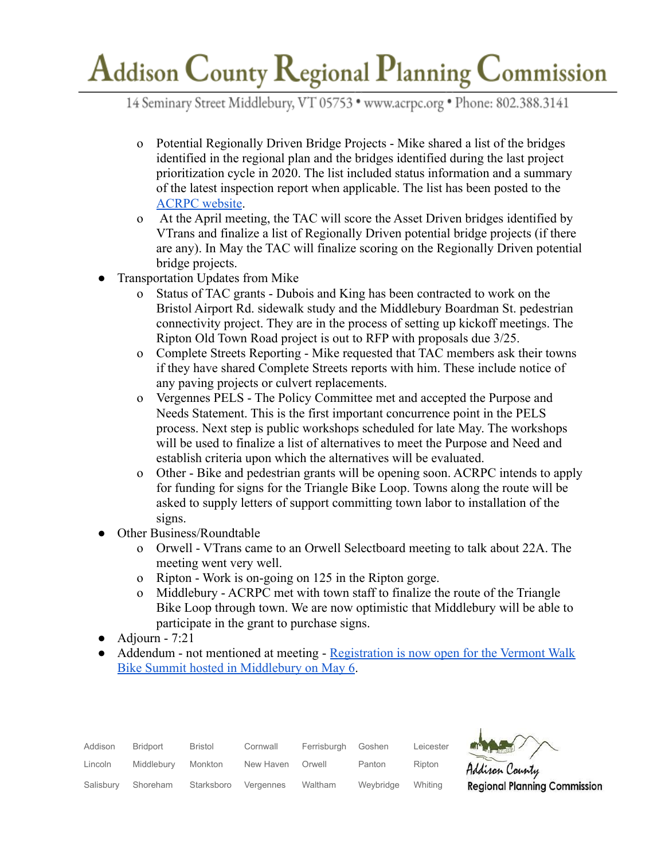# Addison County Regional Planning Commission

14 Seminary Street Middlebury, VT 05753 · www.acrpc.org · Phone: 802.388.3141

- o Potential Regionally Driven Bridge Projects Mike shared a list of the bridges identified in the regional plan and the bridges identified during the last project prioritization cycle in 2020. The list included status information and a summary of the latest inspection report when applicable. The list has been posted to the [ACRPC website](https://acrpc.org/minutes-agendas/).
- o At the April meeting, the TAC will score the Asset Driven bridges identified by VTrans and finalize a list of Regionally Driven potential bridge projects (if there are any). In May the TAC will finalize scoring on the Regionally Driven potential bridge projects.
- Transportation Updates from Mike
	- o Status of TAC grants Dubois and King has been contracted to work on the Bristol Airport Rd. sidewalk study and the Middlebury Boardman St. pedestrian connectivity project. They are in the process of setting up kickoff meetings. The Ripton Old Town Road project is out to RFP with proposals due 3/25.
	- o Complete Streets Reporting Mike requested that TAC members ask their towns if they have shared Complete Streets reports with him. These include notice of any paving projects or culvert replacements.
	- o Vergennes PELS The Policy Committee met and accepted the Purpose and Needs Statement. This is the first important concurrence point in the PELS process. Next step is public workshops scheduled for late May. The workshops will be used to finalize a list of alternatives to meet the Purpose and Need and establish criteria upon which the alternatives will be evaluated.
	- o Other Bike and pedestrian grants will be opening soon. ACRPC intends to apply for funding for signs for the Triangle Bike Loop. Towns along the route will be asked to supply letters of support committing town labor to installation of the signs.
- **Other Business/Roundtable** 
	- o Orwell VTrans came to an Orwell Selectboard meeting to talk about 22A. The meeting went very well.
	- o Ripton Work is on-going on 125 in the Ripton gorge.
	- o Middlebury ACRPC met with town staff to finalize the route of the Triangle Bike Loop through town. We are now optimistic that Middlebury will be able to participate in the grant to purchase signs.
- $\bullet$  Adjourn 7:21
- Addendum not mentioned at meeting Registration [is now open for the Vermont Walk](https://vtwalkbikesummit.com/registration/) [Bike Summit hosted in Middlebury on May 6.](https://vtwalkbikesummit.com/registration/)

| Addison   | Bridport   | Bristol    | Cornwall  | Ferrisburgh | Goshen    | Leicester |
|-----------|------------|------------|-----------|-------------|-----------|-----------|
| Lincoln   | Middlebury | Monkton    | New Haven | Orwell      | Panton    | Ripton    |
| Salisbury | Shoreham   | Starksboro | Vergennes | Waltham     | Weybridge | Whiting   |



Addison County **Regional Planning Commission**